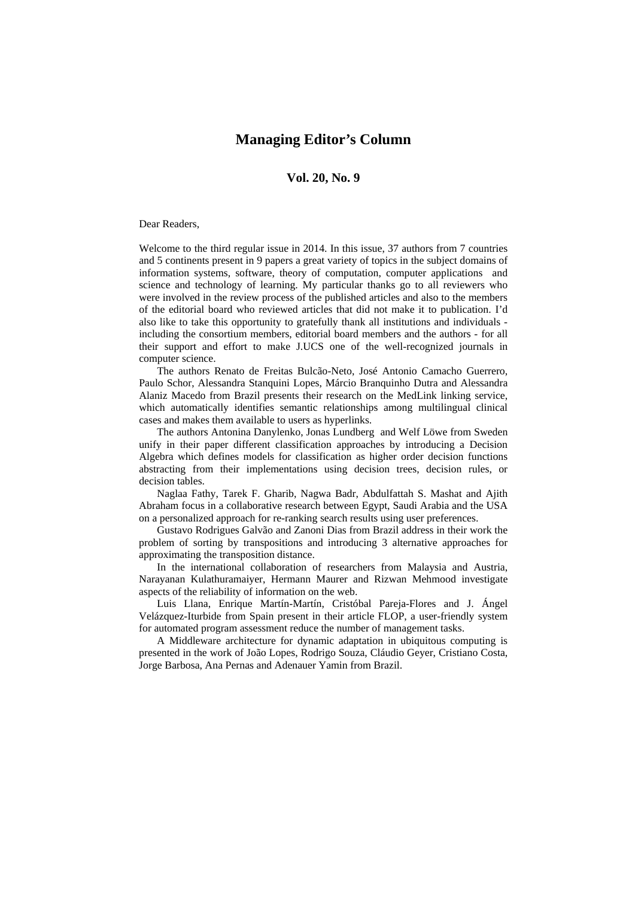## **Managing Editor's Column**

## **Vol. 20, No. 9**

## Dear Readers,

Welcome to the third regular issue in 2014. In this issue, 37 authors from 7 countries and 5 continents present in 9 papers a great variety of topics in the subject domains of information systems, software, theory of computation, computer applications and science and technology of learning. My particular thanks go to all reviewers who were involved in the review process of the published articles and also to the members of the editorial board who reviewed articles that did not make it to publication. I'd also like to take this opportunity to gratefully thank all institutions and individuals including the consortium members, editorial board members and the authors - for all their support and effort to make J.UCS one of the well-recognized journals in computer science.

The authors Renato de Freitas Bulcão-Neto, José Antonio Camacho Guerrero, Paulo Schor, Alessandra Stanquini Lopes, Márcio Branquinho Dutra and Alessandra Alaniz Macedo from Brazil presents their research on the MedLink linking service, which automatically identifies semantic relationships among multilingual clinical cases and makes them available to users as hyperlinks.

The authors Antonina Danylenko, Jonas Lundberg and Welf Löwe from Sweden unify in their paper different classification approaches by introducing a Decision Algebra which defines models for classification as higher order decision functions abstracting from their implementations using decision trees, decision rules, or decision tables.

Naglaa Fathy, Tarek F. Gharib, Nagwa Badr, Abdulfattah S. Mashat and Ajith Abraham focus in a collaborative research between Egypt, Saudi Arabia and the USA on a personalized approach for re-ranking search results using user preferences.

Gustavo Rodrigues Galvão and Zanoni Dias from Brazil address in their work the problem of sorting by transpositions and introducing 3 alternative approaches for approximating the transposition distance.

In the international collaboration of researchers from Malaysia and Austria, Narayanan Kulathuramaiyer, Hermann Maurer and Rizwan Mehmood investigate aspects of the reliability of information on the web.

Luis Llana, Enrique Martín-Martín, Cristóbal Pareja-Flores and J. Ángel Velázquez-Iturbide from Spain present in their article FLOP, a user-friendly system for automated program assessment reduce the number of management tasks.

A Middleware architecture for dynamic adaptation in ubiquitous computing is presented in the work of João Lopes, Rodrigo Souza, Cláudio Geyer, Cristiano Costa, Jorge Barbosa, Ana Pernas and Adenauer Yamin from Brazil.